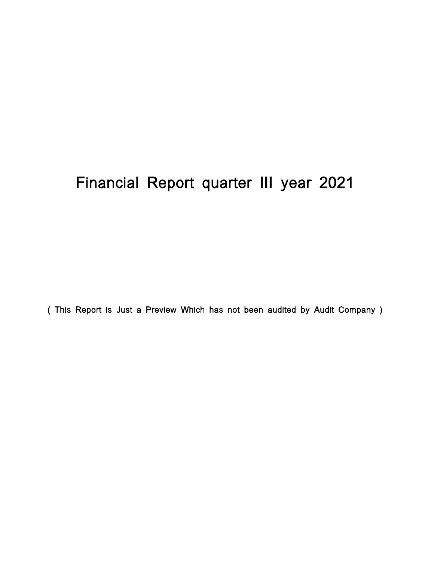# Financial Report quarter III year 2021

( This Report is Just a Preview Which has not been audited by Audit Company )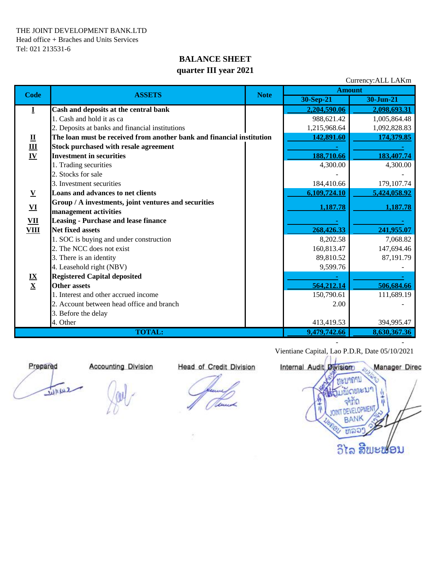### **BALANCE SHEET quarter III year 2021**

|                                                                      |                                                                       | Currency: ALL LAKm |               |              |
|----------------------------------------------------------------------|-----------------------------------------------------------------------|--------------------|---------------|--------------|
| <b>Code</b>                                                          | <b>ASSETS</b>                                                         | <b>Note</b>        | <b>Amount</b> |              |
|                                                                      |                                                                       |                    | $30-Sep-21$   | 30-Jun-21    |
| I                                                                    | Cash and deposits at the central bank                                 |                    | 2,204,590.06  | 2,098,693.31 |
| $\overline{\mathbf{u}}$<br>$\underline{\mathbf{m}}$<br>$\mathbf{IV}$ | 1. Cash and hold it as ca                                             |                    | 988,621.42    | 1,005,864.48 |
|                                                                      | 2. Deposits at banks and financial institutions                       | 1,215,968.64       | 1,092,828.83  |              |
|                                                                      | The loan must be received from another bank and financial institution | 142,891.60         | 174,379.85    |              |
|                                                                      | <b>Stock purchased with resale agreement</b>                          |                    |               |              |
|                                                                      | <b>Investment in securities</b>                                       |                    | 188,710.66    | 183,407.74   |
|                                                                      | 1. Trading securities                                                 |                    | 4,300.00      | 4,300.00     |
|                                                                      | 2. Stocks for sale                                                    |                    |               |              |
|                                                                      | 3. Investment securities                                              |                    | 184,410.66    | 179, 107.74  |
| $\overline{\mathbf{V}}$                                              | Loans and advances to net clients                                     |                    | 6,109,724.10  | 5,424,058.92 |
|                                                                      | Group / A investments, joint ventures and securities                  |                    | 1,187.78      | 1,187.78     |
| ${\bf VI}$                                                           | management activities                                                 |                    |               |              |
| $\underline{\textbf{VII}}$                                           | <b>Leasing - Purchase and lease finance</b>                           |                    |               |              |
| <b>VIII</b>                                                          | <b>Net fixed assets</b>                                               | 268,426.33         | 241,955.07    |              |
|                                                                      | 1. SOC is buying and under construction                               |                    | 8,202.58      | 7,068.82     |
|                                                                      | 2. The NCC does not exist                                             |                    | 160,813.47    | 147,694.46   |
|                                                                      | 3. There is an identity                                               |                    | 89,810.52     | 87,191.79    |
|                                                                      | 4. Leasehold right (NBV)                                              |                    | 9,599.76      |              |
|                                                                      | <b>Registered Capital deposited</b>                                   |                    |               |              |
| $\frac{IX}{X}$                                                       | <b>Other assets</b>                                                   |                    | 564,212.14    | 506,684.66   |
|                                                                      | 1. Interest and other accrued income                                  |                    | 150,790.61    | 111,689.19   |
|                                                                      | 2. Account between head office and branch                             |                    | 2.00          |              |
|                                                                      | 3. Before the delay                                                   |                    |               |              |
|                                                                      | 4. Other                                                              |                    | 413,419.53    | 394,995.47   |
|                                                                      | <b>TOTAL:</b>                                                         | 9,479,742.66       | 8,630,367.36  |              |
|                                                                      |                                                                       |                    |               |              |

June

 Vientiane Capital, Lao P.D.R, Date 05/10/2021  **Prepared Accounting Division Head of Credit Division Internal Audit Division Manager Director** าถาบ จำกิด **DEVELOPMEN BANK** ຫລວ ວິໄລ ສີພະຟອນ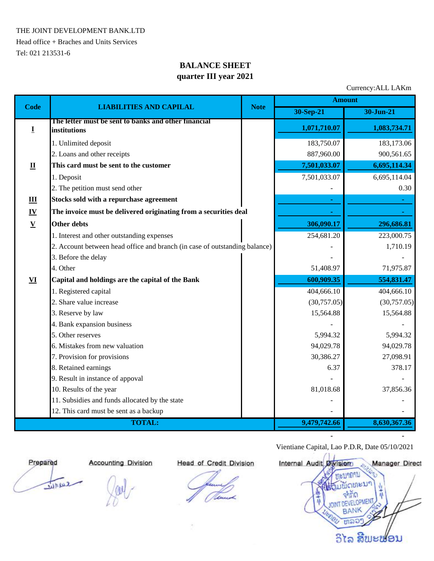THE JOINT DEVELOPMENT BANK.LTD

Head office + Braches and Units Services Tel: 021 213531-6

## **BALANCE SHEET quarter III year 2021**

Currency:ALL LAKm

| <b>Code</b>               |                                                                            | <b>Note</b>  | <b>Amount</b> |               |  |
|---------------------------|----------------------------------------------------------------------------|--------------|---------------|---------------|--|
|                           | <b>LIABILITIES AND CAPILAL</b>                                             |              | 30-Sep-21     | $30 - Jun-21$ |  |
| I                         | The letter must be sent to banks and other financial<br>institutions       |              | 1,071,710.07  | 1,083,734.71  |  |
|                           | 1. Unlimited deposit                                                       |              | 183,750.07    | 183,173.06    |  |
|                           | 2. Loans and other receipts                                                |              | 887,960.00    | 900,561.65    |  |
| $\mathbf{I}$              | This card must be sent to the customer                                     |              | 7,501,033.07  | 6,695,114.34  |  |
|                           | 1. Deposit                                                                 |              | 7,501,033.07  | 6,695,114.04  |  |
|                           | 2. The petition must send other                                            |              |               | 0.30          |  |
| Ш                         | Stocks sold with a repurchase agreement                                    |              |               |               |  |
| $\underline{\mathbf{IV}}$ | The invoice must be delivered originating from a securities deal           |              |               |               |  |
| $\underline{\mathbf{V}}$  | <b>Other debts</b>                                                         |              | 306,090.17    | 296,686.81    |  |
|                           | 1. Interest and other outstanding expenses                                 |              | 254,681.20    | 223,000.75    |  |
|                           | 2. Account between head office and branch (in case of outstanding balance) |              |               | 1,710.19      |  |
|                           | 3. Before the delay                                                        |              |               |               |  |
|                           | 4. Other                                                                   |              | 51,408.97     | 71,975.87     |  |
| VI                        | Capital and holdings are the capital of the Bank                           |              | 600,909.35    | 554,831.47    |  |
|                           | 1. Registered capital                                                      |              | 404,666.10    | 404,666.10    |  |
|                           | 2. Share value increase                                                    |              | (30,757.05)   | (30,757.05)   |  |
|                           | 3. Reserve by law                                                          |              | 15,564.88     | 15,564.88     |  |
|                           | 4. Bank expansion business                                                 |              |               |               |  |
|                           | 5. Other reserves                                                          |              | 5,994.32      | 5,994.32      |  |
|                           | 6. Mistakes from new valuation                                             |              | 94,029.78     | 94,029.78     |  |
|                           | 7. Provision for provisions                                                |              | 30,386.27     | 27,098.91     |  |
|                           | 8. Retained earnings                                                       |              | 6.37          | 378.17        |  |
|                           | 9. Result in instance of appoval                                           |              |               |               |  |
|                           | 10. Results of the year                                                    |              | 81,018.68     | 37,856.36     |  |
|                           | 11. Subsidies and funds allocated by the state                             |              |               |               |  |
|                           | 12. This card must be sent as a backup                                     |              |               |               |  |
|                           | <b>TOTAL:</b>                                                              | 9,479,742.66 | 8,630,367.36  |               |  |

two

 Vientiane Capital, Lao P.D.R, Date 05/10/2021  **Prepared Accounting Division Head of Credit Division Internal Audit Division Manager Director ALLIANTIL** CUIL จากด ELOPMEN **BANK** ms ວິໄລ ສີພະຟອນ

 **- -**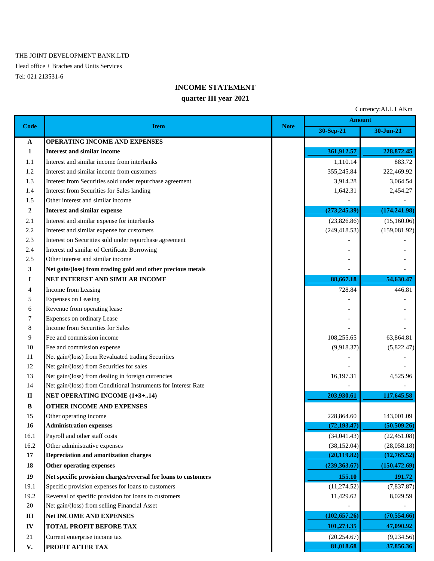#### THE JOINT DEVELOPMENT BANK.LTD

Head office + Braches and Units Services Tel: 021 213531-6

#### **INCOME STATEMENT**

#### **quarter III year 2021**

Currency:ALL LAKm **30-Sep-21 30-Jun-21 A OPERATING INCOME AND EXPENSES 1 Interest and similar income** 361,912.57 **361,912.57** 228,872.45 1.1 Interest and similar income from interbanks 1,110.14 1,110.14 883.72 1.2 Interest and similar income from customers 355,245.84 222,469.92 1.3 Interest from Securities sold under repurchase agreement 3,914.28 3,914.28 3,064.54 1.4 Interest from Securities for Sales landing 1,642.31 2,454.27 1.5 Other interest and similar income **2** Interest and similar expense (273,245.39) (174,241.98) 2.1 Interest and similar expense for interbanks (23,826.86) (15,160.06) (15,160.06) 2.2 Interest and similar expense for customers (249,418.53) (159,081.92) 2.3 Interest on Securities sold under repurchase agreement 2.4 Interest nd similar of Certificate Borrowing 2.5 Other interest and similar income  $\overline{a}$ **3 Net gain/(loss) from trading gold and other precious metals I NET INTEREST AND SIMILAR INCOME 88,667.18 <b>88,667.18** 54,630.47 4 Income from Leasing 446.81 5 Expenses on Leasing 6 Revenue from operating lease 7 Expenses on ordinary Lease 8 Income from Securities for Sales Pee and commission income 108,255.65 63,864.81 10 Fee and commission expense  $(9,918.37)$   $(5,822.47)$ 11 Net gain/(loss) from Revaluated trading Securities 12 Net gain/(loss) from Securities for sales 13 Net gain/(loss) from dealing in foreign currencies 16,197.31 4,525.96 14 Net gain/(loss) from Conditional Instruments for Interesr Rate **II NET OPERATING INCOME** (1+3+..14) 203,930.61 **203,930.61** 117,645.58 **B OTHER INCOME AND EXPENSES** 15 Other operating income 228,864.60 143,001.09 **16 Administration expenses (72,193.47) (50,509.26)** 16.1 Payroll and other staff costs (34,041.43) (22,451.08) 16.2 Other administrative expenses (38,152.04) (28,058.18) **17 Depreciation and amortization charges** (20,119.82) (12,765.52) (12,765.52) **18 Other operating expenses** (239,363.67) (150,472.69) **19 191.72 Net specific provision charges/reversal for loans to customers** 155.10 **191.72 Amount Code Item Note**

- 19.1 Specific provision expenses for loans to customers (11,274.52) (7,837.87)
- 19.2 Reversal of specific provision for loans to customers 11,429.62 8,029.59
- $20$  Net gain/(loss) from selling Financial Asset
- **III Net INCOME AND EXPENSES** (70,554.66)
- **IV TOTAL PROFIT BEFORE TAX 101,273.35 47,090.92**
- 21 Current enterprise income tax (20,254.67) (9,234.56)
- **V. PROFIT AFTER TAX** 81,018.68 **81,018.68** 37,856.36